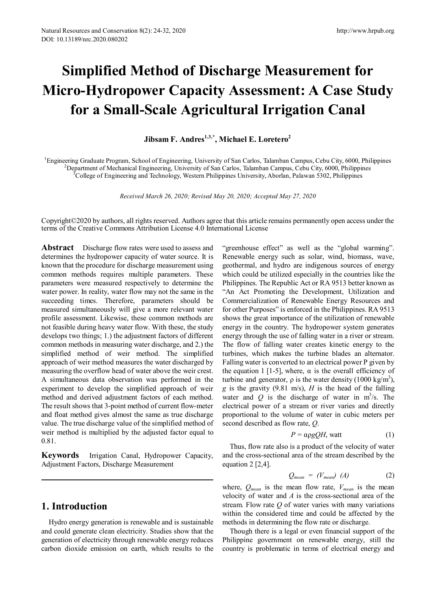# **Simplified Method of Discharge Measurement for Micro-Hydropower Capacity Assessment: A Case Study for a Small-Scale Agricultural Irrigation Canal**

# **Jibsam F. Andres**<sup>1,3,\*</sup>, Michael E. Loretero<sup>2</sup>

<sup>1</sup>Engineering Graduate Program, School of Engineering, University of San Carlos, Talamban Campus, Cebu City, 6000, Philippines <sup>2</sup> Department of Mechanical Engineering, University of San Carlos, Talamban Campus, Cebu City <sup>2</sup>Department of Mechanical Engineering, University of San Carlos, Talamban Campus, Cebu City, 6000, Philippines  $^3$ College of Engineering and Technology, Western Philippines University, Aborlan, Palawan 5302, Philippines

*Received March 26, 2020; Revised May 20, 2020; Accepted May 27, 2020*

Copyright©2020 by authors, all rights reserved. Authors agree that this article remains permanently open access under the terms of the Creative Commons Attribution License 4.0 International License

**Abstract** Discharge flow rates were used to assess and determines the hydropower capacity of water source. It is known that the procedure for discharge measurement using common methods requires multiple parameters. These parameters were measured respectively to determine the water power. In reality, water flow may not the same in the succeeding times. Therefore, parameters should be measured simultaneously will give a more relevant water profile assessment. Likewise, these common methods are not feasible during heavy water flow. With these, the study develops two things; 1.) the adjustment factors of different common methods in measuring water discharge, and 2.) the simplified method of weir method. The simplified approach of weir method measures the water discharged by measuring the overflow head of water above the weir crest. A simultaneous data observation was performed in the experiment to develop the simplified approach of weir method and derived adjustment factors of each method. The result shows that 3-point method of current flow-meter and float method gives almost the same as true discharge value. The true discharge value of the simplified method of weir method is multiplied by the adjusted factor equal to 0.81.

**Keywords** Irrigation Canal, Hydropower Capacity, Adjustment Factors, Discharge Measurement

# **1. Introduction**

Hydro energy generation is renewable and is sustainable and could generate clean electricity. Studies show that the generation of electricity through renewable energy reduces carbon dioxide emission on earth, which results to the

"greenhouse effect" as well as the "global warming". Renewable energy such as solar, wind, biomass, wave, geothermal, and hydro are indigenous sources of energy which could be utilized especially in the countries like the Philippines. The Republic Act or RA 9513 better known as "An Act Promoting the Development, Utilization and Commercialization of Renewable Energy Resources and for other Purposes" is enforced in the Philippines. RA 9513 shows the great importance of the utilization of renewable energy in the country. The hydropower system generates energy through the use of falling water in a river or stream. The flow of falling water creates kinetic energy to the turbines, which makes the turbine blades an alternator. Falling water is converted to an electrical power P given by the equation 1 [1-5], where,  $\alpha$  is the overall efficiency of turbine and generator,  $ρ$  is the water density (1000 kg/m<sup>3</sup>), *g* is the gravity (9.81 m/s), *H* is the head of the falling water and  $Q$  is the discharge of water in  $m^3/s$ . The electrical power of a stream or river varies and directly proportional to the volume of water in cubic meters per second described as flow rate, *Q*.

$$
P = \alpha \rho g Q H, \text{watt} \tag{1}
$$

Thus, flow rate also is a product of the velocity of water and the cross-sectional area of the stream described by the equation 2 [2,4].

$$
Q_{mean} = (V_{mean}) \ (A) \tag{2}
$$

where,  $Q_{mean}$  is the mean flow rate,  $V_{mean}$  is the mean velocity of water and *A* is the cross-sectional area of the stream. Flow rate *Q* of water varies with many variations within the considered time and could be affected by the methods in determining the flow rate or discharge.

Though there is a legal or even financial support of the Philippine government on renewable energy, still the country is problematic in terms of electrical energy and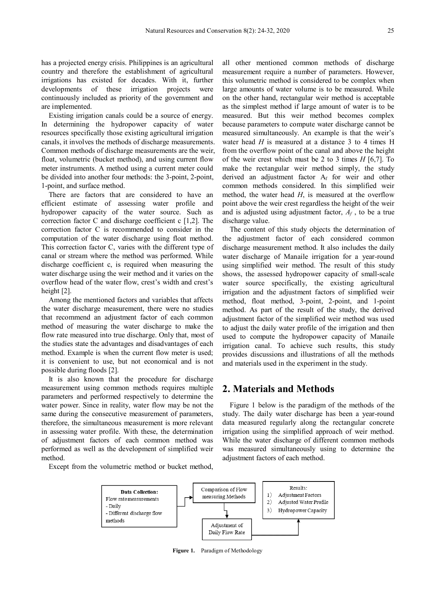has a projected energy crisis. Philippines is an agricultural country and therefore the establishment of agricultural irrigations has existed for decades. With it, further developments of these irrigation projects were continuously included as priority of the government and are implemented.

Existing irrigation canals could be a source of energy. In determining the hydropower capacity of water resources specifically those existing agricultural irrigation canals, it involves the methods of discharge measurements. Common methods of discharge measurements are the weir, float, volumetric (bucket method), and using current flow meter instruments. A method using a current meter could be divided into another four methods: the 3-point, 2-point, 1-point, and surface method.

There are factors that are considered to have an efficient estimate of assessing water profile and hydropower capacity of the water source. Such as correction factor C and discharge coefficient c [1,2]. The correction factor C is recommended to consider in the computation of the water discharge using float method. This correction factor C, varies with the different type of canal or stream where the method was performed. While discharge coefficient c, is required when measuring the water discharge using the weir method and it varies on the overflow head of the water flow, crest's width and crest's height [2].

Among the mentioned factors and variables that affects the water discharge measurement, there were no studies that recommend an adjustment factor of each common method of measuring the water discharge to make the flow rate measured into true discharge. Only that, most of the studies state the advantages and disadvantages of each method. Example is when the current flow meter is used; it is convenient to use, but not economical and is not possible during floods [2].

It is also known that the procedure for discharge measurement using common methods requires multiple parameters and performed respectively to determine the water power. Since in reality, water flow may be not the same during the consecutive measurement of parameters, therefore, the simultaneous measurement is more relevant in assessing water profile. With these, the determination of adjustment factors of each common method was performed as well as the development of simplified weir method.

Except from the volumetric method or bucket method,

all other mentioned common methods of discharge measurement require a number of parameters. However, this volumetric method is considered to be complex when large amounts of water volume is to be measured. While on the other hand, rectangular weir method is acceptable as the simplest method if large amount of water is to be measured. But this weir method becomes complex because parameters to compute water discharge cannot be measured simultaneously. An example is that the weir's water head *H* is measured at a distance 3 to 4 times H from the overflow point of the canal and above the height of the weir crest which must be 2 to 3 times *H* [6,7]. To make the rectangular weir method simply, the study derived an adjustment factor  $A_f$  for weir and other common methods considered. In this simplified weir method, the water head *H*, is measured at the overflow point above the weir crest regardless the height of the weir and is adjusted using adjustment factor, *Af* , to be a true discharge value.

The content of this study objects the determination of the adjustment factor of each considered common discharge measurement method. It also includes the daily water discharge of Manaile irrigation for a year-round using simplified weir method. The result of this study shows, the assessed hydropower capacity of small-scale water source specifically, the existing agricultural irrigation and the adjustment factors of simplified weir method, float method, 3-point, 2-point, and 1-point method. As part of the result of the study, the derived adjustment factor of the simplified weir method was used to adjust the daily water profile of the irrigation and then used to compute the hydropower capacity of Manaile irrigation canal. To achieve such results, this study provides discussions and illustrations of all the methods and materials used in the experiment in the study.

## **2. Materials and Methods**

Figure 1 below is the paradigm of the methods of the study. The daily water discharge has been a year-round data measured regularly along the rectangular concrete irrigation using the simplified approach of weir method. While the water discharge of different common methods was measured simultaneously using to determine the adjustment factors of each method.



**Figure 1.** Paradigm of Methodology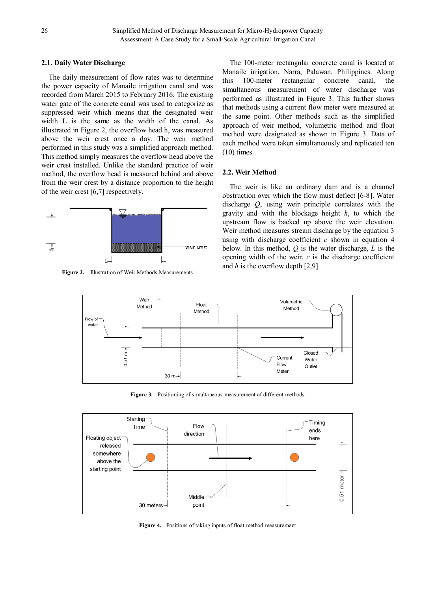## **2.1. Daily Water Discharge**

The daily measurement of flow rates was to determine the power capacity of Manaile irrigation canal and was recorded from March 2015 to February 2016. The existing water gate of the concrete canal was used to categorize as suppressed weir which means that the designated weir width L is the same as the width of the canal. As illustrated in Figure 2, the overflow head h, was measured above the weir crest once a day. The weir method performed in this study was a simplified approach method. This method simply measures the overflow head above the weir crest installed. Unlike the standard practice of weir method, the overflow head is measured behind and above from the weir crest by a distance proportion to the height of the weir crest [6,7] respectively.



**Figure 2.** Illustration of Weir Methods Measurements

The 100-meter rectangular concrete canal is located at Manaile irrigation, Narra, Palawan, Philippines. Along this 100-meter rectangular concrete canal, the simultaneous measurement of water discharge was performed as illustrated in Figure 3. This further shows that methods using a current flow meter were measured at the same point. Other methods such as the simplified approach of weir method, volumetric method and float method were designated as shown in Figure 3. Data of each method were taken simultaneously and replicated ten (10) times.

## **2.2. Weir Method**

The weir is like an ordinary dam and is a channel obstruction over which the flow must deflect [6-8]. Water discharge *Q*, using weir principle correlates with the gravity and with the blockage height *h*, to which the upstream flow is backed up above the weir elevation. Weir method measures stream discharge by the equation 3 using with discharge coefficient  $c$  shown in equation  $4$ below. In this method, *Q* is the water discharge, *L* is the opening width of the weir, *c* is the discharge coefficient and *h* is the overflow depth [2,9].



**Figure 3.** Positioning of simultaneous measurement of different methods



**Figure 4.** Positions of taking inputs of float method measurement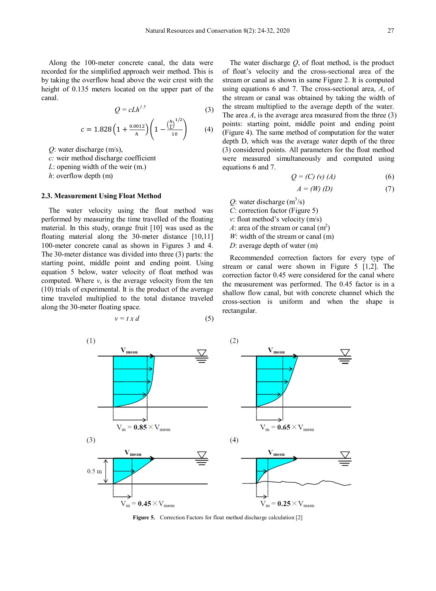Along the 100-meter concrete canal, the data were recorded for the simplified approach weir method. This is by taking the overflow head above the weir crest with the height of 0.135 meters located on the upper part of the canal.

$$
Q = c L h^{1.5} \tag{3}
$$

$$
c = 1.828 \left( 1 + \frac{0.0012}{h} \right) \left( 1 - \frac{\left( \frac{h}{L} \right)^{1/2}}{10} \right) \tag{4}
$$

*Q*: water discharge (m/s),

*c:* weir method discharge coefficient

*L*: opening width of the weir (m.)

*h*: overflow depth (m)

#### **2.3. Measurement Using Float Method**

The water velocity using the float method was performed by measuring the time travelled of the floating material. In this study, orange fruit [10] was used as the floating material along the 30-meter distance [10,11] 100-meter concrete canal as shown in Figures 3 and 4. The 30-meter distance was divided into three (3) parts: the starting point, middle point and ending point. Using equation 5 below, water velocity of float method was computed. Where  $v$ , is the average velocity from the ten (10) trials of experimental. It is the product of the average time traveled multiplied to the total distance traveled along the 30-meter floating space.

$$
v = t x d \tag{5}
$$

The water discharge *Q*, of float method, is the product of float's velocity and the cross-sectional area of the stream or canal as shown in same Figure 2. It is computed using equations 6 and 7. The cross-sectional area, *A*, of the stream or canal was obtained by taking the width of the stream multiplied to the average depth of the water. The area  $A$ , is the average area measured from the three  $(3)$ points: starting point, middle point and ending point (Figure 4). The same method of computation for the water depth D, which was the average water depth of the three (3) considered points. All parameters for the float method were measured simultaneously and computed using equations 6 and 7.

$$
Q = (C) (v) (A) \tag{6}
$$

$$
A = (W) (D) \tag{7}
$$

 $Q$ : water discharge (m<sup>3</sup>/s)

*C*: correction factor (Figure 5)

*v*: float method's velocity (m/s)

*A*: area of the stream or canal  $(m^2)$ 

*W*: width of the stream or canal (m)

*D*: average depth of water (m)

Recommended correction factors for every type of stream or canal were shown in Figure 5 [1,2]. The correction factor 0.45 were considered for the canal where the measurement was performed. The 0.45 factor is in a shallow flow canal, but with concrete channel which the cross-section is uniform and when the shape is rectangular.



**Figure 5.** Correction Factors for float method discharge calculation [2]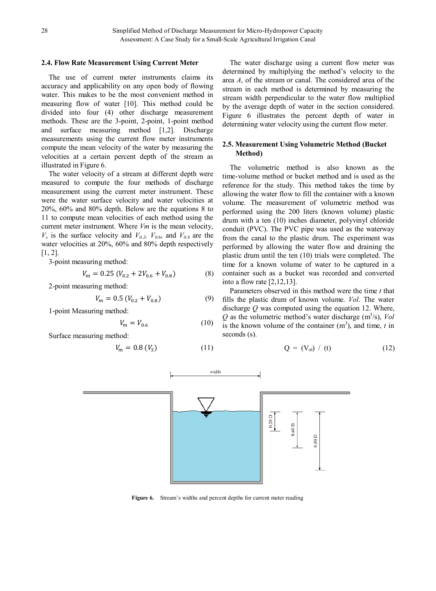#### **2.4. Flow Rate Measurement Using Current Meter**

The use of current meter instruments claims its accuracy and applicability on any open body of flowing water. This makes to be the most convenient method in measuring flow of water [10]. This method could be divided into four (4) other discharge measurement methods. These are the 3-point, 2-point, 1-point method and surface measuring method [1,2]. Discharge measurements using the current flow meter instruments compute the mean velocity of the water by measuring the velocities at a certain percent depth of the stream as illustrated in Figure 6.

The water velocity of a stream at different depth were measured to compute the four methods of discharge measurement using the current meter instrument. These were the water surface velocity and water velocities at 20%, 60% and 80% depth. Below are the equations 8 to 11 to compute mean velocities of each method using the current meter instrument. Where *Vm* is the mean velocity,  $V_s$  is the surface velocity and  $V_{0.2}$ ,  $V_{0.6}$ , and  $V_{0.8}$  are the water velocities at 20%, 60% and 80% depth respectively  $[1, 2]$ .

3-point measuring method:

$$
V_m = 0.25 \left( V_{0.2} + 2V_{0.6} + V_{0.8} \right) \tag{8}
$$

2-point measuring method:

$$
V_m = 0.5 \left( V_{0.2} + V_{0.8} \right) \tag{9}
$$

1-point Measuring method:

$$
V_m = V_{0.6} \tag{10}
$$

Surface measuring method:

$$
V_m = 0.8 \left( V_S \right) \tag{11}
$$

The water discharge using a current flow meter was determined by multiplying the method's velocity to the area *A*, of the stream or canal. The considered area of the stream in each method is determined by measuring the stream width perpendicular to the water flow multiplied by the average depth of water in the section considered. Figure 6 illustrates the percent depth of water in determining water velocity using the current flow meter.

## **2.5. Measurement Using Volumetric Method (Bucket Method)**

The volumetric method is also known as the time-volume method or bucket method and is used as the reference for the study. This method takes the time by allowing the water flow to fill the container with a known volume. The measurement of volumetric method was performed using the 200 liters (known volume) plastic drum with a ten (10) inches diameter, polyvinyl chloride conduit (PVC). The PVC pipe was used as the waterway from the canal to the plastic drum. The experiment was performed by allowing the water flow and draining the plastic drum until the ten (10) trials were completed. The time for a known volume of water to be captured in a container such as a bucket was recorded and converted into a flow rate [2,12,13].

Parameters observed in this method were the time *t* that fills the plastic drum of known volume. *Vol*. The water discharge *Q* was computed using the equation 12. Where,  $Q$  as the volumetric method's water discharge ( $m^3/s$ ), *Vol* is the known volume of the container  $(m^3)$ , and time, *t* in seconds (s).

$$
Q = (V_{ol}) / (t) \tag{12}
$$



**Figure 6.** Stream's widths and percent depths for current meter reading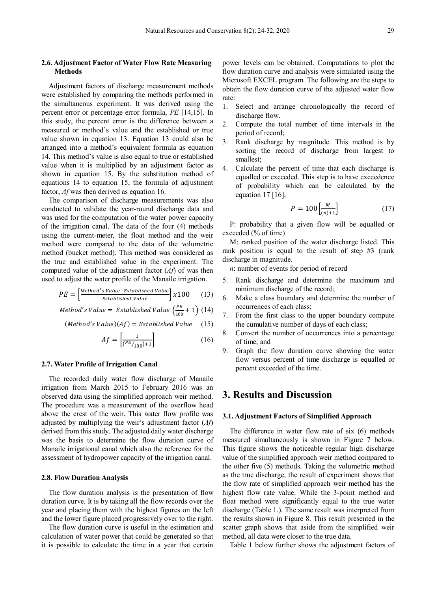## **2.6. Adjustment Factor of Water Flow Rate Measuring Methods**

Adjustment factors of discharge measurement methods were established by comparing the methods performed in the simultaneous experiment. It was derived using the percent error or percentage error formula, *PE* [14,15]. In this study, the percent error is the difference between a measured or method's value and the established or true value shown in equation 13. Equation 13 could also be arranged into a method's equivalent formula as equation 14. This method's value is also equal to true or established value when it is multiplied by an adjustment factor as shown in equation 15. By the substitution method of equations 14 to equation 15, the formula of adjustment factor, *Af* was then derived as equation 16.

The comparison of discharge measurements was also conducted to validate the year-round discharge data and was used for the computation of the water power capacity of the irrigation canal. The data of the four (4) methods using the current-meter, the float method and the weir method were compared to the data of the volumetric method (bucket method). This method was considered as the true and established value in the experiment. The computed value of the adjustment factor (*Af*) of was then used to adjust the water profile of the Manaile irrigation.

$$
PE = \left[\frac{\text{Method's Value}-\text{Estabilished Value}}{\text{Estabilished Value}}\right] \times 100 \qquad (13)
$$

*Method's Value* = *Estabilished Value* 
$$
\left(\frac{PE}{100} + 1\right)
$$
 (14)

$$
(Method's Value)(Af) = Established Value \qquad (15)
$$

$$
Af = \left[\frac{1}{\left(^{PE}/_{100}\right) + 1}\right] \tag{16}
$$

#### **2.7. Water Profile of Irrigation Canal**

The recorded daily water flow discharge of Manaile irrigation from March 2015 to February 2016 was an observed data using the simplified approach weir method. The procedure was a measurement of the overflow head above the crest of the weir. This water flow profile was adjusted by multiplying the weir's adjustment factor (*Af*) derived from this study. The adjusted daily water discharge was the basis to determine the flow duration curve of Manaile irrigational canal which also the reference for the assessment of hydropower capacity of the irrigation canal.

#### **2.8. Flow Duration Analysis**

The flow duration analysis is the presentation of flow duration curve. It is by taking all the flow records over the year and placing them with the highest figures on the left and the lower figure placed progressively over to the right.

The flow duration curve is useful in the estimation and calculation of water power that could be generated so that it is possible to calculate the time in a year that certain power levels can be obtained. Computations to plot the flow duration curve and analysis were simulated using the Microsoft EXCEL program. The following are the steps to obtain the flow duration curve of the adjusted water flow rate:

- 1. Select and arrange chronologically the record of discharge flow.
- 2. Compute the total number of time intervals in the period of record;
- 3. Rank discharge by magnitude. This method is by sorting the record of discharge from largest to smallest;
- 4. Calculate the percent of time that each discharge is equalled or exceeded. This step is to have exceedence of probability which can be calculated by the equation  $17$  [16],

$$
P = 100 \left[ \frac{M}{(n)+1} \right] \tag{17}
$$

P: probability that a given flow will be equalled or exceeded (% of time)

M: ranked position of the water discharge listed. This rank position is equal to the result of step #3 (rank discharge in magnitude.

*n*: number of events for period of record

- 5. Rank discharge and determine the maximum and minimum discharge of the record;
- 6. Make a class boundary and determine the number of occurrences of each class;
- 7. From the first class to the upper boundary compute the cumulative number of days of each class;
- 8. Convert the number of occurrences into a percentage of time; and
- 9. Graph the flow duration curve showing the water flow versus percent of time discharge is equalled or percent exceeded of the time.

# **3. Results and Discussion**

## **3.1. Adjustment Factors of Simplified Approach**

The difference in water flow rate of six (6) methods measured simultaneously is shown in Figure 7 below. This figure shows the noticeable regular high discharge value of the simplified approach weir method compared to the other five (5) methods. Taking the volumetric method as the true discharge, the result of experiment shows that the flow rate of simplified approach weir method has the highest flow rate value. While the 3-point method and float method were significantly equal to the true water discharge (Table 1.). The same result was interpreted from the results shown in Figure 8. This result presented in the scatter graph shows that aside from the simplified weir method, all data were closer to the true data.

Table 1 below further shows the adjustment factors of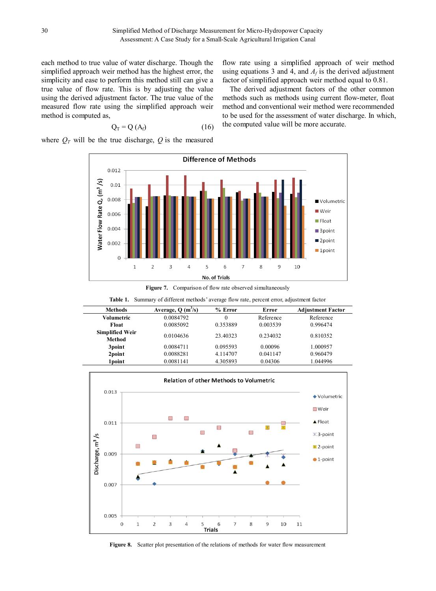each method to true value of water discharge. Though the simplified approach weir method has the highest error, the simplicity and ease to perform this method still can give a true value of flow rate. This is by adjusting the value using the derived adjustment factor. The true value of the measured flow rate using the simplified approach weir method is computed as,

$$
Q_T = Q(A_f) \tag{16}
$$

where  $Q_T$  will be the true discharge,  $Q$  is the measured

flow rate using a simplified approach of weir method using equations 3 and 4, and  $A_f$  is the derived adjustment factor of simplified approach weir method equal to 0.81.

The derived adjustment factors of the other common methods such as methods using current flow-meter, float method and conventional weir method were recommended to be used for the assessment of water discharge. In which, the computed value will be more accurate.



Figure 7. Comparison of flow rate observed simultaneously

| <b>Methods</b>         | Average, $Q(m^3/s)$ | $%$ Error | Error     | <b>Adjustment Factor</b> |
|------------------------|---------------------|-----------|-----------|--------------------------|
| Volumetric             | 0.0084792           | 0         | Reference | Reference                |
| Float                  | 0.0085092           | 0.353889  | 0.003539  | 0.996474                 |
| <b>Simplified Weir</b> | 0.0104636           | 23.40323  | 0.234032  | 0.810352                 |
| Method                 |                     |           |           |                          |
| 3point                 | 0.0084711           | 0.095593  | 0.00096   | 1.000957                 |
| 2point                 | 0.0088281           | 4.114707  | 0.041147  | 0.960479                 |
| 1 point                | 0.0081141           | 4.305893  | 0.04306   | 1.044996                 |

**Table 1.** Summary of different methods' average flow rate, percent error, adjustment factor



**Figure 8.** Scatter plot presentation of the relations of methods for water flow measurement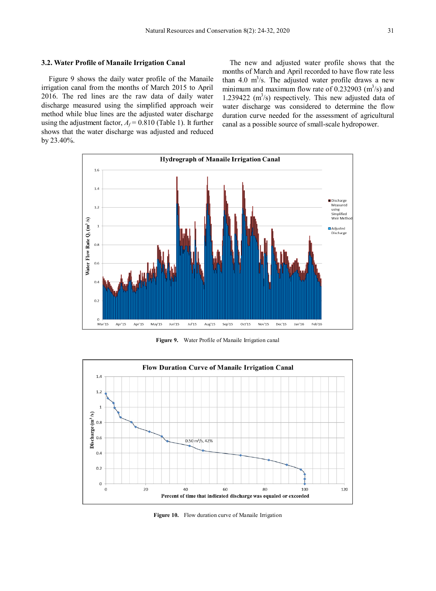#### **3.2. Water Profile of Manaile Irrigation Canal**

Figure 9 shows the daily water profile of the Manaile irrigation canal from the months of March 2015 to April 2016. The red lines are the raw data of daily water discharge measured using the simplified approach weir method while blue lines are the adjusted water discharge using the adjustment factor,  $A_f = 0.810$  (Table 1). It further shows that the water discharge was adjusted and reduced by 23.40%.

The new and adjusted water profile shows that the months of March and April recorded to have flow rate less than 4.0  $m^3/s$ . The adjusted water profile draws a new minimum and maximum flow rate of 0.232903  $(m<sup>3</sup>/s)$  and 1.239422  $(m<sup>3</sup>/s)$  respectively. This new adjusted data of water discharge was considered to determine the flow duration curve needed for the assessment of agricultural canal as a possible source of small-scale hydropower.



**Figure 9.** Water Profile of Manaile Irrigation canal



**Figure 10.** Flow duration curve of Manaile Irrigation